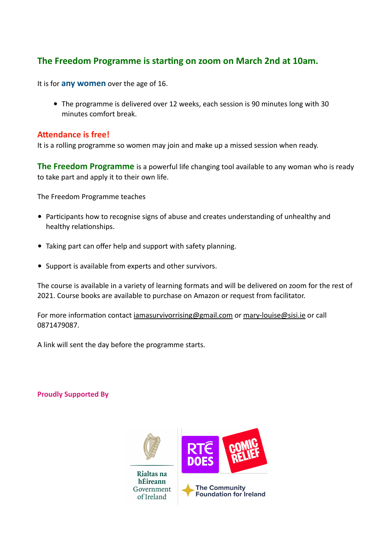### **The Freedom Programme is starting on zoom on March 2nd at 10am.**

It is for **any women** over the age of 16.

• The programme is delivered over 12 weeks, each session is 90 minutes long with 30 minutes comfort break.

#### **Attendance is free!**

It is a rolling programme so women may join and make up a missed session when ready.

**The Freedom Programme** is a powerful life changing tool available to any woman who is ready to take part and apply it to their own life.

The Freedom Programme teaches

- Participants how to recognise signs of abuse and creates understanding of unhealthy and healthy relationships.
- Taking part can offer help and support with safety planning.
- Support is available from experts and other survivors.

The course is available in a variety of learning formats and will be delivered on zoom for the rest of 2021. Course books are available to purchase on Amazon or request from facilitator.

For more information contact [iamasurvivorrising@gmail.com](mailto:iamasurvivorrising@gmail.com) or [mary-louise@sisi.ie](mailto:mary-louise@sisi.ie) or call 0871479087.

A link will sent the day before the programme starts.

**Proudly Supported By**